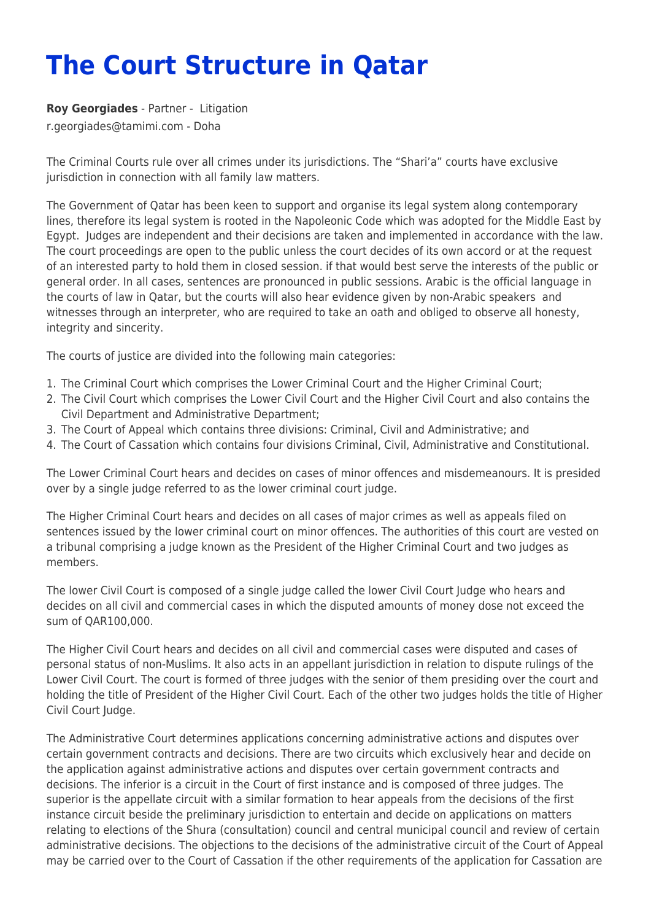## **The Court Structure in Qatar**

**[Roy Georgiades](https://www.tamimi.com/find-a-lawyer/roy-georgiades/)** - Partner - [Litigation](https://www.tamimi.com/client-services/practices/litigation/) [r.georgiades@tamimi.com](mailto:r.georgiades@tamimi.com) - [Doha](https://www.tamimi.com/locations/qatar/)

The Criminal Courts rule over all crimes under its jurisdictions. The "Shari'a" courts have exclusive jurisdiction in connection with all family law matters.

The Government of Qatar has been keen to support and organise its legal system along contemporary lines, therefore its legal system is rooted in the Napoleonic Code which was adopted for the Middle East by Egypt. Judges are independent and their decisions are taken and implemented in accordance with the law. The court proceedings are open to the public unless the court decides of its own accord or at the request of an interested party to hold them in closed session. if that would best serve the interests of the public or general order. In all cases, sentences are pronounced in public sessions. Arabic is the official language in the courts of law in Qatar, but the courts will also hear evidence given by non-Arabic speakers and witnesses through an interpreter, who are required to take an oath and obliged to observe all honesty, integrity and sincerity.

The courts of justice are divided into the following main categories:

- 1. The Criminal Court which comprises the Lower Criminal Court and the Higher Criminal Court;
- 2. The Civil Court which comprises the Lower Civil Court and the Higher Civil Court and also contains the Civil Department and Administrative Department;
- 3. The Court of Appeal which contains three divisions: Criminal, Civil and Administrative; and
- 4. The Court of Cassation which contains four divisions Criminal, Civil, Administrative and Constitutional.

The Lower Criminal Court hears and decides on cases of minor offences and misdemeanours. It is presided over by a single judge referred to as the lower criminal court judge.

The Higher Criminal Court hears and decides on all cases of major crimes as well as appeals filed on sentences issued by the lower criminal court on minor offences. The authorities of this court are vested on a tribunal comprising a judge known as the President of the Higher Criminal Court and two judges as members.

The lower Civil Court is composed of a single judge called the lower Civil Court Judge who hears and decides on all civil and commercial cases in which the disputed amounts of money dose not exceed the sum of QAR100,000.

The Higher Civil Court hears and decides on all civil and commercial cases were disputed and cases of personal status of non-Muslims. It also acts in an appellant jurisdiction in relation to dispute rulings of the Lower Civil Court. The court is formed of three judges with the senior of them presiding over the court and holding the title of President of the Higher Civil Court. Each of the other two judges holds the title of Higher Civil Court Judge.

The Administrative Court determines applications concerning administrative actions and disputes over certain government contracts and decisions. There are two circuits which exclusively hear and decide on the application against administrative actions and disputes over certain government contracts and decisions. The inferior is a circuit in the Court of first instance and is composed of three judges. The superior is the appellate circuit with a similar formation to hear appeals from the decisions of the first instance circuit beside the preliminary jurisdiction to entertain and decide on applications on matters relating to elections of the Shura (consultation) council and central municipal council and review of certain administrative decisions. The objections to the decisions of the administrative circuit of the Court of Appeal may be carried over to the Court of Cassation if the other requirements of the application for Cassation are